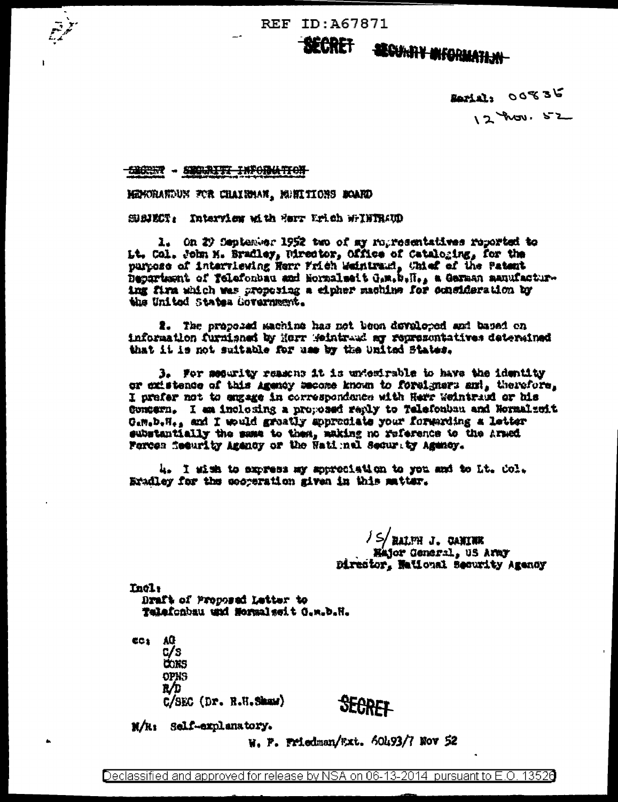REF ID: A67871

SECRET SECURBY MACRIATION

> Jerui: 00836 12 hours 52

**CACCER - SECORITI INFORMATION** 

MENTRANDUN FOR CHAIRMAN, MUNICIONS MOARD

SBREET: Interview with forr Urich WTHTRAUD

1. On 2) September 1952 two of my ropresentatives reported to Lt. Col. John M. Bradley, Director, Office of Cataloging, for the purpose of interviewing Herr Frich Waintrawi, Chief of the Patent Department of Telefonbau and Normalseit G.m.b.H., a German manufacturing firm which was proposing a cipher machine for consideration by the United States Covernment.

2. The proposed machine has not been developed and based on information furnished by Herr Weintraud ar representatives determined that it is not suitable for use by the United States.

3. For meanity reasons it is untestrable to have the identity or existence of this Agency secone known to forelyners ami, therefore, I prefer not to angage in correspondence with Herr Weintradd or his Gongern. I am inclosing a proposed reply to Telefonbau and Normalsoit Gam.b.H., and I would greatly approxiate your forwarding a letter substantially the same to then, making no reference to the Armed Forces feeurity Amency or the Natimal Security Agency.

4. I sim to express my spreciation to you and to Lt. Col. Erailey for the secretation given in this matter.

> /S/HALPH J. CANINE<br>Hajor General, US Army Director, National Security Agency

Incl: Draft of Proposed Latter to Talafonbau und Mormalseit G.w.b.H.

CC: AG  $c/s$ **CONS OPNS** R/D  $C/SEC$   $(Dx, R.H, Shaw)$ 

**SEGRET** 

N/R: Self-explanatory.

W. P. Friedman/Wxt. 60493/7 Nov 52